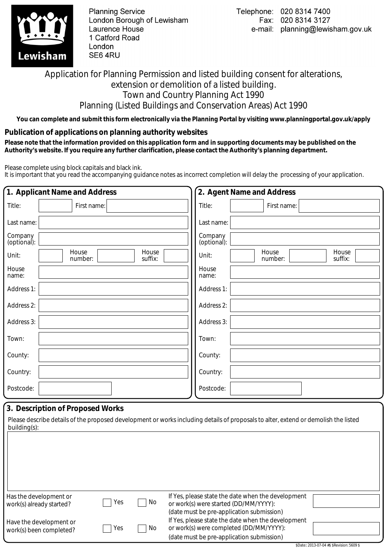

**Planning Service** London Borough of Lewisham Laurence House 1 Catford Road London SE64RU

## Application for Planning Permission and listed building consent for alterations, extension or demolition of a listed building. Town and Country Planning Act 1990 Planning (Listed Buildings and Conservation Areas) Act 1990

**You can complete and submit this form electronically via the Planning Portal by visiting www.planningportal.gov.uk/apply**

## **Publication of applications on planning authority websites**

 **Please note that the information provided on this application form and in supporting documents may be published on the Authority's website. If you require any further clarification, please contact the Authority's planning department.**

Please complete using block capitals and black ink.

It is important that you read the accompanying guidance notes as incorrect completion will delay the processing of your application.

|                        | 1. Applicant Name and Address        | 2. Agent Name and Address                     |
|------------------------|--------------------------------------|-----------------------------------------------|
| Title:                 | First name:                          | Title:<br>First name:                         |
| Last name:             |                                      | Last name:                                    |
| Company<br>(optional): |                                      | Company<br>(optional):                        |
| Unit:                  | House<br>House<br>number:<br>suffix: | House<br>House<br>Unit:<br>number:<br>suffix: |
| House<br>name:         |                                      | House<br>name:                                |
| Address 1:             |                                      | Address 1:                                    |
| Address 2:             |                                      | Address 2:                                    |
| Address 3:             |                                      | Address 3:                                    |
| Town:                  |                                      | Town:                                         |
| County:                |                                      | County:                                       |
| Country:               |                                      | Country:                                      |
| Postcode:              |                                      | Postcode:                                     |

## **3. Description of Proposed Works**

Please describe details of the proposed development or works including details of proposals to alter, extend or demolish the listed building(s):

| Has the development or   |     |    | If Yes, please state the date when the development |                                             |
|--------------------------|-----|----|----------------------------------------------------|---------------------------------------------|
| work(s) already started? | Yes | No | or work(s) were started (DD/MM/YYYY):              |                                             |
|                          |     |    | (date must be pre-application submission)          |                                             |
| Have the development or  |     |    | If Yes, please state the date when the development |                                             |
| work(s) been completed?  | Yes | No | or work(s) were completed (DD/MM/YYYY):            |                                             |
|                          |     |    | (date must be pre-application submission)          |                                             |
|                          |     |    |                                                    | \$Date:: 2013-07-04 #\$ \$Revision: 5609 \$ |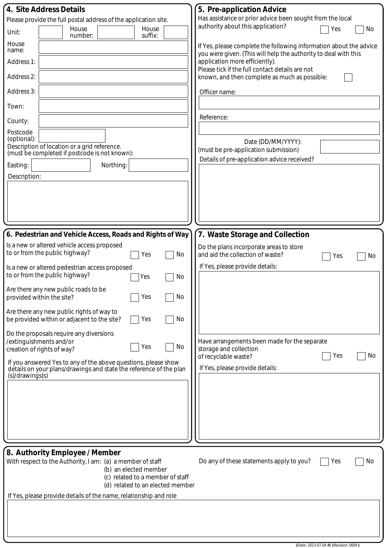| 4. Site Address Details                                                                                                 | 5. Pre-application Advice                                                                         |
|-------------------------------------------------------------------------------------------------------------------------|---------------------------------------------------------------------------------------------------|
| Please provide the full postal address of the application site.                                                         | Has assistance or prior advice been sought from the local<br>authority about this application?    |
| House<br>House<br>Unit:<br>suffix:<br>number:                                                                           | Yes<br>No                                                                                         |
| House<br>name:                                                                                                          | If Yes, please complete the following information about the advice                                |
| Address 1:                                                                                                              | you were given. (This will help the authority to deal with this<br>application more efficiently). |
| Address 2:                                                                                                              | Please tick if the full contact details are not<br>known, and then complete as much as possible:  |
| Address 3:                                                                                                              | Officer name:                                                                                     |
| Town:                                                                                                                   |                                                                                                   |
| County:                                                                                                                 | Reference:                                                                                        |
| Postcode<br>(optional):                                                                                                 |                                                                                                   |
| Description of location or a grid reference.<br>(must be completed if postcode is not known):                           | Date (DD/MM/YYYY):<br>(must be pre-application submission)                                        |
| Easting:<br>Northing:                                                                                                   | Details of pre-application advice received?                                                       |
| Description:                                                                                                            |                                                                                                   |
|                                                                                                                         |                                                                                                   |
|                                                                                                                         |                                                                                                   |
|                                                                                                                         |                                                                                                   |
|                                                                                                                         |                                                                                                   |
| 6. Pedestrian and Vehicle Access, Roads and Rights of Way                                                               | 7. Waste Storage and Collection                                                                   |
| Is a new or altered vehicle access proposed<br>to or from the public highway?<br>No<br>Yes                              | Do the plans incorporate areas to store<br>and aid the collection of waste?                       |
| Is a new or altered pedestrian access proposed                                                                          | No<br>Yes<br>If Yes, please provide details:                                                      |
| to or from the public highway?<br>No<br>Yes                                                                             |                                                                                                   |
| Are there any new public roads to be<br>$\top$ Yes<br>No<br>provided within the site?                                   |                                                                                                   |
| Are there any new public rights of way to                                                                               |                                                                                                   |
| No<br>be provided within or adjacent to the site?<br>Yes                                                                |                                                                                                   |
| Do the proposals require any diversions<br>/extinguishments and/or                                                      | Have arrangements been made for the separate                                                      |
| No<br>Yes<br>creation of rights of way?                                                                                 | storage and collection                                                                            |
| If you answered Yes to any of the above questions, please show                                                          | No<br>Yes<br>of recyclable waste?                                                                 |
| details on your plans/drawings and state the reference of the plan<br>(s)/drawings(s)                                   | If Yes, please provide details:                                                                   |
|                                                                                                                         |                                                                                                   |
|                                                                                                                         |                                                                                                   |
|                                                                                                                         |                                                                                                   |
|                                                                                                                         |                                                                                                   |
|                                                                                                                         |                                                                                                   |
| 8. Authority Employee / Member                                                                                          |                                                                                                   |
| With respect to the Authority, I am: (a) a member of staff<br>(b) an elected member<br>(c) related to a member of staff | Do any of these statements apply to you?<br>Yes<br>No                                             |
| (d) related to an elected member                                                                                        |                                                                                                   |
| If Yes, please provide details of the name, relationship and role                                                       |                                                                                                   |
|                                                                                                                         |                                                                                                   |
|                                                                                                                         |                                                                                                   |
|                                                                                                                         |                                                                                                   |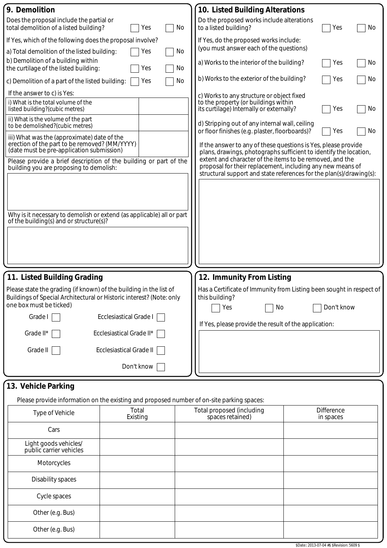| 9. Demolition                                                                                                                              | 10. Listed Building Alterations                                                                                                   |  |  |  |  |  |  |  |
|--------------------------------------------------------------------------------------------------------------------------------------------|-----------------------------------------------------------------------------------------------------------------------------------|--|--|--|--|--|--|--|
| Does the proposal include the partial or<br>total demolition of a listed building?<br>Yes<br>No                                            | Do the proposed works include alterations<br>to a listed building?<br>Yes<br>No                                                   |  |  |  |  |  |  |  |
| If Yes, which of the following does the proposal involve?                                                                                  | If Yes, do the proposed works include:                                                                                            |  |  |  |  |  |  |  |
| a) Total demolition of the listed building:<br>No<br>Yes                                                                                   | (you must answer each of the questions)                                                                                           |  |  |  |  |  |  |  |
| b) Demolition of a building within<br>the curtilage of the listed building:<br>No<br>Yes                                                   | a) Works to the interior of the building?<br>Yes<br>No                                                                            |  |  |  |  |  |  |  |
| c) Demolition of a part of the listed building:<br>No<br>Yes                                                                               | b) Works to the exterior of the building?<br>No<br>Yes                                                                            |  |  |  |  |  |  |  |
| If the answer to c) is Yes:                                                                                                                | c) Works to any structure or object fixed                                                                                         |  |  |  |  |  |  |  |
| i) What is the total volume of the<br>listed building?(cubic metres)                                                                       | to the property (or buildings within<br>its curtilage) Internally or externally?<br>Yes<br>No                                     |  |  |  |  |  |  |  |
| ii) What is the volume of the part<br>to be demolished?(cubic metres)                                                                      | d) Stripping out of any internal wall, ceiling<br>or floor finishes (e.g. plaster, floorboards)?<br>Yes<br>No                     |  |  |  |  |  |  |  |
| iii) What was the (approximate) date of the<br>erection of the part to be removed? (MM/YYYY)<br>(date must be pre-application submission)  | If the answer to any of these questions is Yes, please provide                                                                    |  |  |  |  |  |  |  |
| Please provide a brief description of the building or part of the                                                                          | plans, drawings, photographs sufficient to identify the location,<br>extent and character of the items to be removed, and the     |  |  |  |  |  |  |  |
| building you are proposing to demolish:                                                                                                    | proposal for their replacement, including any new means of<br>structural support and state references for the plan(s)/drawing(s): |  |  |  |  |  |  |  |
|                                                                                                                                            |                                                                                                                                   |  |  |  |  |  |  |  |
|                                                                                                                                            |                                                                                                                                   |  |  |  |  |  |  |  |
| Why is it necessary to demolish or extend (as applicable) all or part                                                                      |                                                                                                                                   |  |  |  |  |  |  |  |
| of the building(s) and or structure(s)?                                                                                                    |                                                                                                                                   |  |  |  |  |  |  |  |
|                                                                                                                                            |                                                                                                                                   |  |  |  |  |  |  |  |
|                                                                                                                                            |                                                                                                                                   |  |  |  |  |  |  |  |
|                                                                                                                                            |                                                                                                                                   |  |  |  |  |  |  |  |
| 11. Listed Building Grading                                                                                                                | 12. Immunity From Listing                                                                                                         |  |  |  |  |  |  |  |
| Please state the grading (if known) of the building in the list of<br>Buildings of Special Architectural or Historic interest? (Note: only | Has a Certificate of Immunity from Listing been sought in respect of<br>this building?                                            |  |  |  |  |  |  |  |
| one box must be ticked)                                                                                                                    | Don't know<br>No<br>Yes                                                                                                           |  |  |  |  |  |  |  |
| Ecclesiastical Grade I<br>Grade I                                                                                                          | If Yes, please provide the result of the application:                                                                             |  |  |  |  |  |  |  |
| Ecclesiastical Grade II*<br>Grade II*                                                                                                      |                                                                                                                                   |  |  |  |  |  |  |  |
| Ecclesiastical Grade II<br>Grade II                                                                                                        |                                                                                                                                   |  |  |  |  |  |  |  |
| Don't know                                                                                                                                 |                                                                                                                                   |  |  |  |  |  |  |  |
| 13. Vehicle Parking                                                                                                                        |                                                                                                                                   |  |  |  |  |  |  |  |
| Please provide information on the existing and proposed number of on-site parking spaces:                                                  |                                                                                                                                   |  |  |  |  |  |  |  |
| Total<br>Type of Vehicle<br>Existing                                                                                                       | Total proposed (including<br><b>Difference</b><br>spaces retained)<br>in spaces                                                   |  |  |  |  |  |  |  |
| Cars                                                                                                                                       |                                                                                                                                   |  |  |  |  |  |  |  |
| Light goods vehicles/<br>public carrier vehicles                                                                                           |                                                                                                                                   |  |  |  |  |  |  |  |
| Motorcycles                                                                                                                                |                                                                                                                                   |  |  |  |  |  |  |  |

Disability spaces

Cycle spaces

Other (e.g. Bus)

Other (e.g. Bus)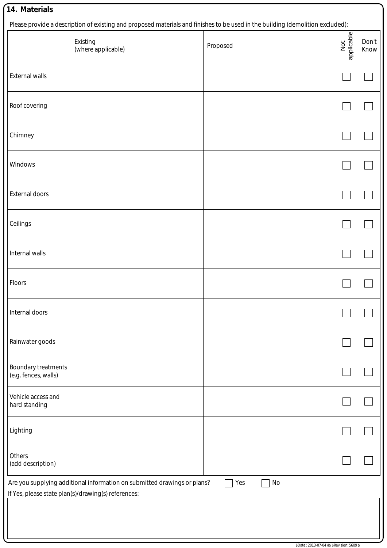|                                                                                                                                              | Existing<br>(where applicable) | Proposed | applicable<br>Not | Don't<br>Know |  |  |
|----------------------------------------------------------------------------------------------------------------------------------------------|--------------------------------|----------|-------------------|---------------|--|--|
| External walls                                                                                                                               |                                |          |                   |               |  |  |
| Roof covering                                                                                                                                |                                |          |                   |               |  |  |
| Chimney                                                                                                                                      |                                |          |                   |               |  |  |
| Windows                                                                                                                                      |                                |          |                   |               |  |  |
| <b>External doors</b>                                                                                                                        |                                |          |                   |               |  |  |
| Ceilings                                                                                                                                     |                                |          |                   |               |  |  |
| Internal walls                                                                                                                               |                                |          |                   |               |  |  |
| Floors                                                                                                                                       |                                |          |                   |               |  |  |
| Internal doors                                                                                                                               |                                |          |                   |               |  |  |
| Rainwater goods                                                                                                                              |                                |          |                   |               |  |  |
| <b>Boundary treatments</b><br>(e.g. fences, walls)                                                                                           |                                |          |                   |               |  |  |
| Vehicle access and<br>hard standing                                                                                                          |                                |          |                   |               |  |  |
| Lighting                                                                                                                                     |                                |          |                   |               |  |  |
| Others<br>(add description)                                                                                                                  |                                |          |                   |               |  |  |
| Are you supplying additional information on submitted drawings or plans?<br>Yes<br>No<br>If Yes, please state plan(s)/drawing(s) references: |                                |          |                   |               |  |  |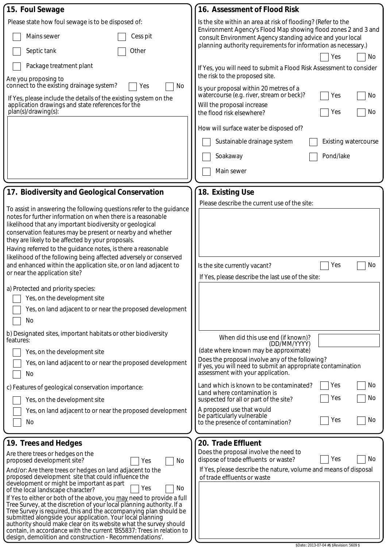| 15. Foul Sewage                                                                                                                                | 16. Assessment of Flood Risk                                                                                                                         |  |  |  |  |
|------------------------------------------------------------------------------------------------------------------------------------------------|------------------------------------------------------------------------------------------------------------------------------------------------------|--|--|--|--|
| Please state how foul sewage is to be disposed of:                                                                                             | Is the site within an area at risk of flooding? (Refer to the                                                                                        |  |  |  |  |
| Mains sewer<br>Cess pit                                                                                                                        | Environment Agency's Flood Map showing flood zones 2 and 3 and<br>consult Environment Agency standing advice and your local                          |  |  |  |  |
| Other<br>Septic tank                                                                                                                           | planning authority requirements for information as necessary.)<br>No<br>Yes                                                                          |  |  |  |  |
| Package treatment plant                                                                                                                        | If Yes, you will need to submit a Flood Risk Assessment to consider                                                                                  |  |  |  |  |
| Are you proposing to<br>connect to the existing drainage system?                                                                               | the risk to the proposed site.                                                                                                                       |  |  |  |  |
| No<br>Yes<br>If Yes, please include the details of the existing system on the                                                                  | Is your proposal within 20 metres of a<br>watercourse (e.g. river, stream or beck)?<br>No<br>Yes                                                     |  |  |  |  |
| application drawings and state references for the<br>plan(s)/drawing(s):                                                                       | Will the proposal increase<br>No<br>Yes<br>the flood risk elsewhere?                                                                                 |  |  |  |  |
|                                                                                                                                                | How will surface water be disposed of?                                                                                                               |  |  |  |  |
|                                                                                                                                                | Sustainable drainage system<br><b>Existing watercourse</b>                                                                                           |  |  |  |  |
|                                                                                                                                                | Pond/lake<br>Soakaway                                                                                                                                |  |  |  |  |
|                                                                                                                                                | Main sewer                                                                                                                                           |  |  |  |  |
|                                                                                                                                                |                                                                                                                                                      |  |  |  |  |
| 17. Biodiversity and Geological Conservation                                                                                                   | 18. Existing Use                                                                                                                                     |  |  |  |  |
| To assist in answering the following questions refer to the guidance                                                                           | Please describe the current use of the site:                                                                                                         |  |  |  |  |
| notes for further information on when there is a reasonable                                                                                    |                                                                                                                                                      |  |  |  |  |
| likelihood that any important biodiversity or geological<br>conservation features may be present or nearby and whether                         |                                                                                                                                                      |  |  |  |  |
| they are likely to be affected by your proposals.                                                                                              |                                                                                                                                                      |  |  |  |  |
| Having referred to the guidance notes, is there a reasonable<br>likelihood of the following being affected adversely or conserved              |                                                                                                                                                      |  |  |  |  |
| and enhanced within the application site, or on land adjacent to                                                                               | No<br>Is the site currently vacant?<br>Yes                                                                                                           |  |  |  |  |
| or near the application site?                                                                                                                  | If Yes, please describe the last use of the site:                                                                                                    |  |  |  |  |
| a) Protected and priority species:                                                                                                             |                                                                                                                                                      |  |  |  |  |
| Yes, on the development site                                                                                                                   |                                                                                                                                                      |  |  |  |  |
| Yes, on land adjacent to or near the proposed development<br>No                                                                                |                                                                                                                                                      |  |  |  |  |
| b) Designated sites, important habitats or other biodiversity<br>features:                                                                     | When did this use end (if known)?<br>(DD/MM/YYYY)                                                                                                    |  |  |  |  |
| Yes, on the development site                                                                                                                   | (date where known may be approximate)                                                                                                                |  |  |  |  |
| Yes, on land adjacent to or near the proposed development<br>No                                                                                | Does the proposal involve any of the following?<br>If yes, you will need to submit an appropriate contamination<br>assessment with your application. |  |  |  |  |
| c) Features of geological conservation importance:                                                                                             | No<br>Land which is known to be contaminated?<br>Yes<br>Land where contamination is                                                                  |  |  |  |  |
| Yes, on the development site                                                                                                                   | No<br>Yes<br>suspected for all or part of the site?                                                                                                  |  |  |  |  |
| Yes, on land adjacent to or near the proposed development                                                                                      | A proposed use that would<br>be particularly vulnerable                                                                                              |  |  |  |  |
| No                                                                                                                                             | No<br>Yes<br>to the presence of contamination?                                                                                                       |  |  |  |  |
| [19. Trees and Hedges                                                                                                                          | 20. Trade Effluent                                                                                                                                   |  |  |  |  |
| Are there trees or hedges on the                                                                                                               | Does the proposal involve the need to                                                                                                                |  |  |  |  |
| proposed development site?<br>No<br>Yes                                                                                                        | No<br>Yes<br>dispose of trade effluents or waste?                                                                                                    |  |  |  |  |
| And/or: Are there trees or hedges on land adjacent to the<br>proposed development site that could influence the                                | If Yes, please describe the nature, volume and means of disposal<br>of trade effluents or waste                                                      |  |  |  |  |
| development or might be important as part<br>No<br>Yes<br>of the local landscape character?                                                    |                                                                                                                                                      |  |  |  |  |
| If Yes to either or both of the above, you may need to provide a full<br>Tree Survey, at the discretion of your local planning authority. If a |                                                                                                                                                      |  |  |  |  |
| Tree Survey is required, this and the accompanying plan should be                                                                              |                                                                                                                                                      |  |  |  |  |
| submitted alongside your application. Your local planning<br>authority should make clear on its website what the survey should                 |                                                                                                                                                      |  |  |  |  |
| contain, in accordance with the current 'BS5837: Trees in relation to<br>design, demolition and construction - Recommendations'.               |                                                                                                                                                      |  |  |  |  |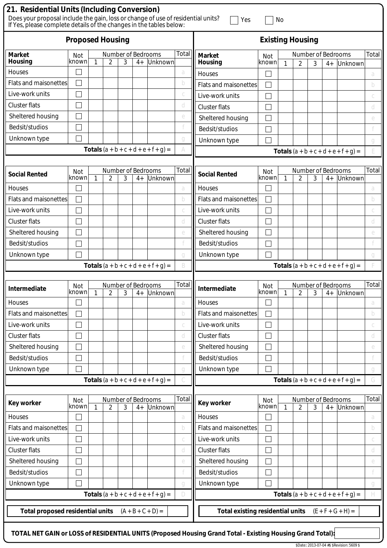| 21. Residential Units (Including Conversion)<br>Does your proposal include the gain, loss or change of use of residential units?<br>If Yes, please complete details of the changes in the tables below: |               |    |                         |   |      |                                               | Yes                     |                                         | No                          |              |                |   |                            |                                               |       |
|---------------------------------------------------------------------------------------------------------------------------------------------------------------------------------------------------------|---------------|----|-------------------------|---|------|-----------------------------------------------|-------------------------|-----------------------------------------|-----------------------------|--------------|----------------|---|----------------------------|-----------------------------------------------|-------|
| <b>Proposed Housing</b>                                                                                                                                                                                 |               |    |                         |   |      |                                               | <b>Existing Housing</b> |                                         |                             |              |                |   |                            |                                               |       |
| <b>Market</b>                                                                                                                                                                                           | Not           |    | Number of Bedrooms      |   |      |                                               | Total                   | <b>Market</b>                           | Not                         |              |                |   | Number of Bedrooms         |                                               | Total |
| <b>Housing</b>                                                                                                                                                                                          | known         | 1  | 2                       | 3 | $4+$ | Unknown                                       |                         | Housing                                 | known                       | 1            | $\overline{2}$ | 3 | $4+$                       | Unknown                                       |       |
| Houses                                                                                                                                                                                                  |               |    |                         |   |      |                                               | a                       | Houses                                  |                             |              |                |   |                            |                                               | a     |
| <b>Flats and maisonettes</b>                                                                                                                                                                            |               |    |                         |   |      |                                               | b                       | <b>Flats and maisonettes</b>            | $\Box$                      |              |                |   |                            |                                               | b     |
| Live-work units                                                                                                                                                                                         |               |    |                         |   |      |                                               |                         | Live-work units                         |                             |              |                |   |                            |                                               |       |
| <b>Cluster flats</b>                                                                                                                                                                                    |               |    |                         |   |      |                                               | d                       | <b>Cluster flats</b>                    |                             |              |                |   |                            |                                               | d     |
| Sheltered housing                                                                                                                                                                                       |               |    |                         |   |      |                                               | e                       | Sheltered housing                       |                             |              |                |   |                            |                                               | e     |
| Bedsit/studios                                                                                                                                                                                          |               |    |                         |   |      |                                               |                         | Bedsit/studios                          |                             |              |                |   |                            |                                               |       |
| Unknown type                                                                                                                                                                                            |               |    |                         |   |      |                                               |                         | Unknown type                            |                             |              |                |   |                            |                                               | q     |
|                                                                                                                                                                                                         |               |    |                         |   |      | <b>Totals</b> $(a + b + c + d + e + f + g) =$ |                         |                                         |                             |              |                |   |                            | <b>Totals</b> $(a + b + c + d + e + f + g) =$ |       |
|                                                                                                                                                                                                         |               |    |                         |   |      |                                               | Total                   |                                         |                             |              |                |   |                            |                                               | Total |
| <b>Social Rented</b>                                                                                                                                                                                    | Not<br>known  | 1  | Number of Bedrooms<br>2 | 3 | $4+$ | Unknown                                       |                         | <b>Social Rented</b>                    | Not<br>known                | $\mathbf{1}$ | $\overline{2}$ | 3 | Number of Bedrooms<br>$4+$ | Unknown                                       |       |
| <b>Houses</b>                                                                                                                                                                                           |               |    |                         |   |      |                                               | a                       | Houses                                  |                             |              |                |   |                            |                                               | a     |
| <b>Flats and maisonettes</b>                                                                                                                                                                            |               |    |                         |   |      |                                               | b                       | <b>Flats and maisonettes</b>            |                             |              |                |   |                            |                                               | b     |
| Live-work units                                                                                                                                                                                         |               |    |                         |   |      |                                               |                         | Live-work units                         |                             |              |                |   |                            |                                               |       |
| <b>Cluster flats</b>                                                                                                                                                                                    |               |    |                         |   |      |                                               | d                       | <b>Cluster flats</b>                    | $\mathcal{L}_{\mathcal{A}}$ |              |                |   |                            |                                               | d     |
| Sheltered housing                                                                                                                                                                                       |               |    |                         |   |      |                                               | e                       | Sheltered housing                       |                             |              |                |   |                            |                                               | e     |
| Bedsit/studios                                                                                                                                                                                          |               |    |                         |   |      |                                               |                         | Bedsit/studios                          |                             |              |                |   |                            |                                               |       |
| Unknown type                                                                                                                                                                                            |               |    |                         |   |      |                                               | a                       | Unknown type                            |                             |              |                |   |                            |                                               |       |
|                                                                                                                                                                                                         |               |    |                         |   |      | <b>Totals</b> $(a + b + c + d + e + f + g) =$ | B                       |                                         |                             |              |                |   |                            | <b>Totals</b> $(a + b + c + d + e + f + g) =$ |       |
|                                                                                                                                                                                                         |               |    |                         |   |      |                                               |                         |                                         |                             |              |                |   |                            |                                               |       |
| Intermediate                                                                                                                                                                                            | Not<br>known  | -1 | Number of Bedrooms      | 3 | $4+$ | Unknown                                       | Total                   | Intermediate                            | Not<br>known                | 1            | 2              | 3 | Number of Bedrooms         | 4+ Unknown                                    | Total |
| Houses                                                                                                                                                                                                  |               |    |                         |   |      |                                               | a                       | Houses                                  |                             |              |                |   |                            |                                               | a     |
| <b>Flats and maisonettes</b>                                                                                                                                                                            |               |    |                         |   |      |                                               | b                       | <b>Flats and maisonettes</b>            |                             |              |                |   |                            |                                               | b     |
| Live-work units                                                                                                                                                                                         |               |    |                         |   |      |                                               |                         | Live-work units                         | $\overline{\phantom{a}}$    |              |                |   |                            |                                               |       |
| <b>Cluster flats</b>                                                                                                                                                                                    |               |    |                         |   |      |                                               | d                       | <b>Cluster flats</b>                    |                             |              |                |   |                            |                                               | d     |
| Sheltered housing                                                                                                                                                                                       |               |    |                         |   |      |                                               | e                       | Sheltered housing                       |                             |              |                |   |                            |                                               | e     |
| Bedsit/studios                                                                                                                                                                                          |               |    |                         |   |      |                                               |                         | Bedsit/studios                          | $\Box$                      |              |                |   |                            |                                               |       |
| Unknown type                                                                                                                                                                                            |               |    |                         |   |      |                                               | g                       | Unknown type                            |                             |              |                |   |                            |                                               | q     |
|                                                                                                                                                                                                         |               |    |                         |   |      | <b>Totals</b> $(a + b + c + d + e + f + g) =$ |                         |                                         |                             |              |                |   |                            | <b>Totals</b> $(a + b + c + d + e + f + g) =$ | G     |
| <b>Key worker</b>                                                                                                                                                                                       | Not           |    | Number of Bedrooms      |   |      |                                               | Total                   | <b>Key worker</b>                       | Not                         |              |                |   | Number of Bedrooms         |                                               | Total |
|                                                                                                                                                                                                         | known         | 1  | 2                       | 3 | $4+$ | Unknown                                       |                         |                                         | known                       | 1            | $\overline{2}$ | 3 | $4+$                       | Unknown                                       |       |
| Houses<br><b>Flats and maisonettes</b>                                                                                                                                                                  |               |    |                         |   |      |                                               | a                       | Houses<br>Flats and maisonettes         | $\Box$                      |              |                |   |                            |                                               | a     |
|                                                                                                                                                                                                         | $\mathcal{L}$ |    |                         |   |      |                                               | b                       |                                         |                             |              |                |   |                            |                                               | b     |
| Live-work units                                                                                                                                                                                         |               |    |                         |   |      |                                               | С                       | Live-work units                         |                             |              |                |   |                            |                                               | C     |
| <b>Cluster flats</b>                                                                                                                                                                                    |               |    |                         |   |      |                                               | d                       | <b>Cluster flats</b>                    |                             |              |                |   |                            |                                               | d     |
| Sheltered housing                                                                                                                                                                                       |               |    |                         |   |      |                                               | e                       | Sheltered housing                       | $\mathcal{L}_{\mathcal{A}}$ |              |                |   |                            |                                               | e     |
| Bedsit/studios                                                                                                                                                                                          |               |    |                         |   |      |                                               |                         | Bedsit/studios                          |                             |              |                |   |                            |                                               |       |
| Unknown type                                                                                                                                                                                            |               |    |                         |   |      |                                               | g                       | Unknown type                            |                             |              |                |   |                            |                                               | g     |
|                                                                                                                                                                                                         |               |    |                         |   |      | <b>Totals</b> $(a + b + c + d + e + f + g) =$ | D                       |                                         |                             |              |                |   |                            | <b>Totals</b> $(a + b + c + d + e + f + g) =$ | H     |
| <b>Total proposed residential units</b>                                                                                                                                                                 |               |    |                         |   |      | $(A + B + C + D) =$                           |                         | <b>Total existing residential units</b> |                             |              |                |   |                            | $(E + F + G + H) =$                           |       |
| TOTAL NET GAIN or LOSS of RESIDENTIAL UNITS (Proposed Housing Grand Total - Existing Housing Grand Total):                                                                                              |               |    |                         |   |      |                                               |                         |                                         |                             |              |                |   |                            |                                               |       |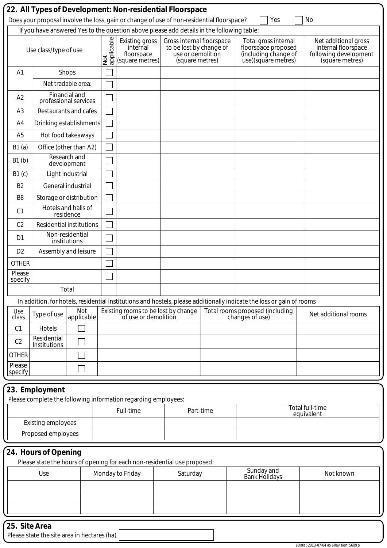|                           |                             |                                        |                 | Does your proposal involve the loss, gain or change of use of non-residential floorspace? |                                                                                              |           | Yes                                                                                                                   | No                                                                                      |
|---------------------------|-----------------------------|----------------------------------------|-----------------|-------------------------------------------------------------------------------------------|----------------------------------------------------------------------------------------------|-----------|-----------------------------------------------------------------------------------------------------------------------|-----------------------------------------------------------------------------------------|
|                           |                             |                                        |                 | If you have answered Yes to the question above please add details in the following table: |                                                                                              |           |                                                                                                                       |                                                                                         |
|                           | Use class/type of use       |                                        | applicable<br>ğ | <b>Existing gross</b><br>internal<br>floorspace<br>(square metres)                        | Gross internal floorspace<br>to be lost by change of<br>use or demolition<br>(square metres) |           | Total gross internal<br>floorspace proposed<br>(including change of<br>use)(square metres)                            | Net additional gross<br>internal floorspace<br>following development<br>(square metres) |
| A <sub>1</sub>            |                             | Shops                                  |                 |                                                                                           |                                                                                              |           |                                                                                                                       |                                                                                         |
|                           |                             | Net tradable area:                     |                 |                                                                                           |                                                                                              |           |                                                                                                                       |                                                                                         |
| A2                        |                             | Financial and<br>professional services |                 |                                                                                           |                                                                                              |           |                                                                                                                       |                                                                                         |
| A <sub>3</sub>            |                             | Restaurants and cafes                  |                 |                                                                                           |                                                                                              |           |                                                                                                                       |                                                                                         |
| A <sub>4</sub>            |                             | Drinking establishments                |                 |                                                                                           |                                                                                              |           |                                                                                                                       |                                                                                         |
| A <sub>5</sub>            |                             | Hot food takeaways                     |                 |                                                                                           |                                                                                              |           |                                                                                                                       |                                                                                         |
| B1(a)                     |                             | Office (other than A2)                 |                 |                                                                                           |                                                                                              |           |                                                                                                                       |                                                                                         |
| B1(b)                     |                             | Research and<br>development            |                 |                                                                                           |                                                                                              |           |                                                                                                                       |                                                                                         |
| B1(c)                     |                             | Light industrial                       |                 |                                                                                           |                                                                                              |           |                                                                                                                       |                                                                                         |
| B <sub>2</sub>            |                             | General industrial                     |                 |                                                                                           |                                                                                              |           |                                                                                                                       |                                                                                         |
| B <sub>8</sub>            |                             | Storage or distribution                |                 |                                                                                           |                                                                                              |           |                                                                                                                       |                                                                                         |
| C <sub>1</sub>            |                             | Hotels and halls of<br>residence       |                 |                                                                                           |                                                                                              |           |                                                                                                                       |                                                                                         |
| C <sub>2</sub>            |                             | <b>Residential institutions</b>        |                 |                                                                                           |                                                                                              |           |                                                                                                                       |                                                                                         |
| D <sub>1</sub>            |                             | Non-residential<br>institutions        |                 |                                                                                           |                                                                                              |           |                                                                                                                       |                                                                                         |
| D <sub>2</sub>            | Assembly and leisure        |                                        |                 |                                                                                           |                                                                                              |           |                                                                                                                       |                                                                                         |
| <b>OTHER</b>              |                             |                                        |                 |                                                                                           |                                                                                              |           |                                                                                                                       |                                                                                         |
| Please<br>specify         |                             |                                        |                 |                                                                                           |                                                                                              |           |                                                                                                                       |                                                                                         |
|                           |                             | Total                                  |                 |                                                                                           |                                                                                              |           |                                                                                                                       |                                                                                         |
|                           |                             |                                        |                 |                                                                                           |                                                                                              |           | In addition, for hotels, residential institutions and hostels, please additionally indicate the loss or gain of rooms |                                                                                         |
| Use<br>class              | Type of use                 | Not<br>applicable                      |                 | Existing rooms to be lost by change<br>of use or demolition                               |                                                                                              |           | Total rooms proposed (including<br>changes of use)                                                                    | Net additional rooms                                                                    |
| C <sub>1</sub>            | Hotels                      |                                        |                 |                                                                                           |                                                                                              |           |                                                                                                                       |                                                                                         |
| C <sub>2</sub>            | Residential<br>Institutions |                                        |                 |                                                                                           |                                                                                              |           |                                                                                                                       |                                                                                         |
| <b>OTHER</b>              |                             |                                        |                 |                                                                                           |                                                                                              |           |                                                                                                                       |                                                                                         |
| Please<br>specify         |                             |                                        |                 |                                                                                           |                                                                                              |           |                                                                                                                       |                                                                                         |
|                           |                             |                                        |                 |                                                                                           |                                                                                              |           |                                                                                                                       |                                                                                         |
|                           | 23. Employment              |                                        |                 | Please complete the following information regarding employees:                            |                                                                                              |           |                                                                                                                       |                                                                                         |
|                           |                             |                                        |                 | Full-time                                                                                 |                                                                                              | Part-time |                                                                                                                       | Total full-time                                                                         |
| <b>Existing employees</b> |                             |                                        |                 |                                                                                           |                                                                                              |           | equivalent                                                                                                            |                                                                                         |
| Proposed employees        |                             |                                        |                 |                                                                                           |                                                                                              |           |                                                                                                                       |                                                                                         |
|                           |                             |                                        |                 |                                                                                           |                                                                                              |           |                                                                                                                       |                                                                                         |
|                           | 24. Hours of Opening        |                                        |                 | Please state the hours of opening for each non-residential use proposed:                  |                                                                                              |           |                                                                                                                       |                                                                                         |
|                           | Use                         |                                        |                 | Monday to Friday                                                                          | Saturday                                                                                     |           | Sunday and                                                                                                            | Not known                                                                               |
|                           |                             |                                        |                 |                                                                                           |                                                                                              |           | <b>Bank Holidays</b>                                                                                                  |                                                                                         |
|                           |                             |                                        |                 |                                                                                           |                                                                                              |           |                                                                                                                       |                                                                                         |
|                           |                             |                                        |                 |                                                                                           |                                                                                              |           |                                                                                                                       |                                                                                         |
|                           |                             |                                        |                 |                                                                                           |                                                                                              |           |                                                                                                                       |                                                                                         |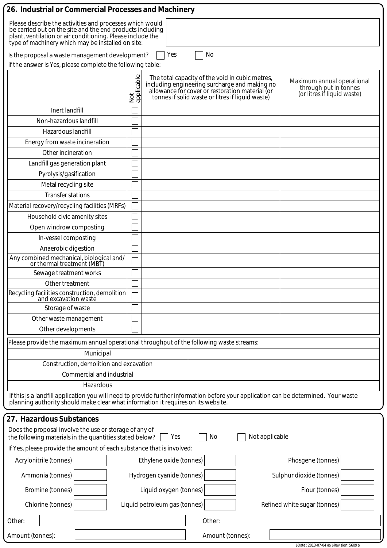| 26. Industrial or Commercial Processes and Machinery                                                                                                                                                                                     |                                                            |                                                                                                                                                                                                         |                                                                                    |  |  |  |  |
|------------------------------------------------------------------------------------------------------------------------------------------------------------------------------------------------------------------------------------------|------------------------------------------------------------|---------------------------------------------------------------------------------------------------------------------------------------------------------------------------------------------------------|------------------------------------------------------------------------------------|--|--|--|--|
| Please describe the activities and processes which would<br>be carried out on the site and the end products including<br>plant, ventilation or air conditioning. Please include the<br>type of machinery which may be installed on site: |                                                            |                                                                                                                                                                                                         |                                                                                    |  |  |  |  |
| Is the proposal a waste management development?                                                                                                                                                                                          | Yes                                                        | No                                                                                                                                                                                                      |                                                                                    |  |  |  |  |
|                                                                                                                                                                                                                                          | If the answer is Yes, please complete the following table: |                                                                                                                                                                                                         |                                                                                    |  |  |  |  |
|                                                                                                                                                                                                                                          | Not<br>applicable                                          | The total capacity of the void in cubic metres,<br>including engineering surcharge and making no<br>allowance for cover or restoration material (or<br>tonnes if solid waste or litres if liquid waste) | Maximum annual operational<br>through put in tonnes<br>(or litres if liquid waste) |  |  |  |  |
| Inert landfill                                                                                                                                                                                                                           |                                                            |                                                                                                                                                                                                         |                                                                                    |  |  |  |  |
| Non-hazardous landfill                                                                                                                                                                                                                   |                                                            |                                                                                                                                                                                                         |                                                                                    |  |  |  |  |
| Hazardous landfill                                                                                                                                                                                                                       |                                                            |                                                                                                                                                                                                         |                                                                                    |  |  |  |  |
| Energy from waste incineration                                                                                                                                                                                                           |                                                            |                                                                                                                                                                                                         |                                                                                    |  |  |  |  |
| Other incineration                                                                                                                                                                                                                       |                                                            |                                                                                                                                                                                                         |                                                                                    |  |  |  |  |
| Landfill gas generation plant                                                                                                                                                                                                            |                                                            |                                                                                                                                                                                                         |                                                                                    |  |  |  |  |
| Pyrolysis/gasification                                                                                                                                                                                                                   |                                                            |                                                                                                                                                                                                         |                                                                                    |  |  |  |  |
| Metal recycling site                                                                                                                                                                                                                     |                                                            |                                                                                                                                                                                                         |                                                                                    |  |  |  |  |
| <b>Transfer stations</b>                                                                                                                                                                                                                 |                                                            |                                                                                                                                                                                                         |                                                                                    |  |  |  |  |
| Material recovery/recycling facilities (MRFs)                                                                                                                                                                                            |                                                            |                                                                                                                                                                                                         |                                                                                    |  |  |  |  |
| Household civic amenity sites                                                                                                                                                                                                            |                                                            |                                                                                                                                                                                                         |                                                                                    |  |  |  |  |
| Open windrow composting                                                                                                                                                                                                                  |                                                            |                                                                                                                                                                                                         |                                                                                    |  |  |  |  |
| In-vessel composting                                                                                                                                                                                                                     |                                                            |                                                                                                                                                                                                         |                                                                                    |  |  |  |  |
| Anaerobic digestion                                                                                                                                                                                                                      |                                                            |                                                                                                                                                                                                         |                                                                                    |  |  |  |  |
| Any combined mechanical, biological and/<br>or thermal treatment (MBT)                                                                                                                                                                   |                                                            |                                                                                                                                                                                                         |                                                                                    |  |  |  |  |
| Sewage treatment works                                                                                                                                                                                                                   |                                                            |                                                                                                                                                                                                         |                                                                                    |  |  |  |  |
| Other treatment                                                                                                                                                                                                                          |                                                            |                                                                                                                                                                                                         |                                                                                    |  |  |  |  |
| Recycling facilities construction, demolition<br>and excavation waste                                                                                                                                                                    |                                                            |                                                                                                                                                                                                         |                                                                                    |  |  |  |  |
| Storage of waste                                                                                                                                                                                                                         |                                                            |                                                                                                                                                                                                         |                                                                                    |  |  |  |  |
| Other waste management                                                                                                                                                                                                                   |                                                            |                                                                                                                                                                                                         |                                                                                    |  |  |  |  |
| Other developments                                                                                                                                                                                                                       |                                                            |                                                                                                                                                                                                         |                                                                                    |  |  |  |  |
| Please provide the maximum annual operational throughput of the following waste streams:                                                                                                                                                 |                                                            |                                                                                                                                                                                                         |                                                                                    |  |  |  |  |
| Municipal                                                                                                                                                                                                                                |                                                            |                                                                                                                                                                                                         |                                                                                    |  |  |  |  |
| Construction, demolition and excavation                                                                                                                                                                                                  |                                                            |                                                                                                                                                                                                         |                                                                                    |  |  |  |  |
| Commercial and industrial                                                                                                                                                                                                                |                                                            |                                                                                                                                                                                                         |                                                                                    |  |  |  |  |
| Hazardous                                                                                                                                                                                                                                |                                                            |                                                                                                                                                                                                         |                                                                                    |  |  |  |  |
| If this is a landfill application you will need to provide further information before your application can be determined. Your waste<br>planning authority should make clear what information it requires on its website.                |                                                            |                                                                                                                                                                                                         |                                                                                    |  |  |  |  |
| 27. Hazardous Substances                                                                                                                                                                                                                 |                                                            |                                                                                                                                                                                                         |                                                                                    |  |  |  |  |
| Does the proposal involve the use or storage of any of<br>the following materials in the quantities stated below?                                                                                                                        | Yes                                                        | No<br>Not applicable                                                                                                                                                                                    |                                                                                    |  |  |  |  |
| If Yes, please provide the amount of each substance that is involved:                                                                                                                                                                    |                                                            |                                                                                                                                                                                                         |                                                                                    |  |  |  |  |
| Acrylonitrile (tonnes)<br>Phosgene (tonnes)<br>Ethylene oxide (tonnes)                                                                                                                                                                   |                                                            |                                                                                                                                                                                                         |                                                                                    |  |  |  |  |
| Ammonia (tonnes)                                                                                                                                                                                                                         | Hydrogen cyanide (tonnes)                                  |                                                                                                                                                                                                         | Sulphur dioxide (tonnes)                                                           |  |  |  |  |
| Bromine (tonnes)                                                                                                                                                                                                                         | Liquid oxygen (tonnes)                                     |                                                                                                                                                                                                         | Flour (tonnes)                                                                     |  |  |  |  |
| Chlorine (tonnes)                                                                                                                                                                                                                        | Liquid petroleum gas (tonnes)                              |                                                                                                                                                                                                         | Refined white sugar (tonnes)                                                       |  |  |  |  |
| Other:                                                                                                                                                                                                                                   |                                                            | Other:                                                                                                                                                                                                  |                                                                                    |  |  |  |  |
| Amount (tonnes):                                                                                                                                                                                                                         |                                                            | Amount (tonnes):                                                                                                                                                                                        |                                                                                    |  |  |  |  |
|                                                                                                                                                                                                                                          |                                                            |                                                                                                                                                                                                         | \$Date:: 2013-07-04 #\$ \$Revision: 5609 \$                                        |  |  |  |  |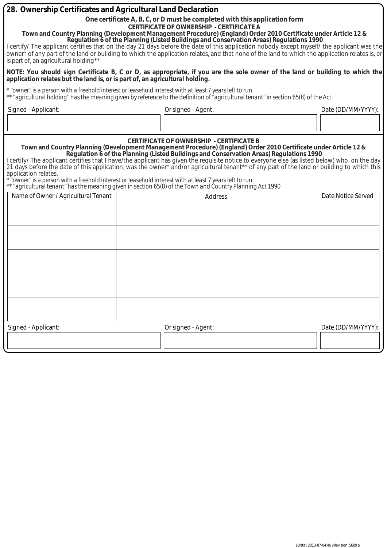| 28. Ownership Certificates and Agricultural Land Declaration                                                                                                                                                                                                                                                                                                                                                                                                                                                                                                                                                                                                                                      |                                                                                                                                                                                                                                                                                                                                                                                                                                                                                                                                                                                                                                                                                                                                                                                      |                                                                                                                                      |                    |  |  |  |  |
|---------------------------------------------------------------------------------------------------------------------------------------------------------------------------------------------------------------------------------------------------------------------------------------------------------------------------------------------------------------------------------------------------------------------------------------------------------------------------------------------------------------------------------------------------------------------------------------------------------------------------------------------------------------------------------------------------|--------------------------------------------------------------------------------------------------------------------------------------------------------------------------------------------------------------------------------------------------------------------------------------------------------------------------------------------------------------------------------------------------------------------------------------------------------------------------------------------------------------------------------------------------------------------------------------------------------------------------------------------------------------------------------------------------------------------------------------------------------------------------------------|--------------------------------------------------------------------------------------------------------------------------------------|--------------------|--|--|--|--|
| One certificate A, B, C, or D must be completed with this application form<br><b>CERTIFICATE OF OWNERSHIP - CERTIFICATE A</b><br>Town and Country Planning (Development Management Procedure) (England) Order 2010 Certificate under Article 12 &<br>Regulation 6 of the Planning (Listed Buildings and Conservation Areas) Regulations 1990<br>I certify/ The applicant certifies that on the day 21 days before the date of this application nobody except myself/ the applicant was the<br>owner <sup>*</sup> of any part of the land or building to which the application relates, and that none of the land to which the application relates is, or<br>is part of, an agricultural holding** |                                                                                                                                                                                                                                                                                                                                                                                                                                                                                                                                                                                                                                                                                                                                                                                      |                                                                                                                                      |                    |  |  |  |  |
| application relates but the land is, or is part of, an agricultural holding.                                                                                                                                                                                                                                                                                                                                                                                                                                                                                                                                                                                                                      |                                                                                                                                                                                                                                                                                                                                                                                                                                                                                                                                                                                                                                                                                                                                                                                      | NOTE: You should sign Certificate B, C or D, as appropriate, if you are the sole owner of the land or building to which the          |                    |  |  |  |  |
| * "owner" is a person with a freehold interest or leasehold interest with at least 7 years left to run.                                                                                                                                                                                                                                                                                                                                                                                                                                                                                                                                                                                           |                                                                                                                                                                                                                                                                                                                                                                                                                                                                                                                                                                                                                                                                                                                                                                                      | ** "agricultural holding" has the meaning given by reference to the definition of "agricultural tenant" in section 65(8) of the Act. |                    |  |  |  |  |
| Signed - Applicant:                                                                                                                                                                                                                                                                                                                                                                                                                                                                                                                                                                                                                                                                               |                                                                                                                                                                                                                                                                                                                                                                                                                                                                                                                                                                                                                                                                                                                                                                                      | Or signed - Agent:                                                                                                                   | Date (DD/MM/YYYY): |  |  |  |  |
|                                                                                                                                                                                                                                                                                                                                                                                                                                                                                                                                                                                                                                                                                                   |                                                                                                                                                                                                                                                                                                                                                                                                                                                                                                                                                                                                                                                                                                                                                                                      |                                                                                                                                      |                    |  |  |  |  |
| application relates.                                                                                                                                                                                                                                                                                                                                                                                                                                                                                                                                                                                                                                                                              | <b>CERTIFICATE OF OWNERSHIP - CERTIFICATE B</b><br>Town and Country Planning (Development Management Procedure) (England) Order 2010 Certificate under Article 12 &<br>Regulation 6 of the Planning (Listed Buildings and Conservation Areas) Regulations 1990<br>l certify/ The applicant certifies that I have/the applicant has given the requisite notice to everyone else (as listed below) who, on the day<br>21 days before the date of this application, was the owner* and/or agricultural tenant** of any part of the land or building to which this<br>owner" is a person with a freehold interest or leasehold interest with at least 7 years left to run."<br>** "agricultural tenant" has the meaning given in section 65(8) of the Town and Country Planning Act 1990 |                                                                                                                                      |                    |  |  |  |  |
| Name of Owner / Agricultural Tenant                                                                                                                                                                                                                                                                                                                                                                                                                                                                                                                                                                                                                                                               |                                                                                                                                                                                                                                                                                                                                                                                                                                                                                                                                                                                                                                                                                                                                                                                      | <b>Address</b>                                                                                                                       | Date Notice Served |  |  |  |  |
|                                                                                                                                                                                                                                                                                                                                                                                                                                                                                                                                                                                                                                                                                                   |                                                                                                                                                                                                                                                                                                                                                                                                                                                                                                                                                                                                                                                                                                                                                                                      |                                                                                                                                      |                    |  |  |  |  |
|                                                                                                                                                                                                                                                                                                                                                                                                                                                                                                                                                                                                                                                                                                   |                                                                                                                                                                                                                                                                                                                                                                                                                                                                                                                                                                                                                                                                                                                                                                                      |                                                                                                                                      |                    |  |  |  |  |
|                                                                                                                                                                                                                                                                                                                                                                                                                                                                                                                                                                                                                                                                                                   |                                                                                                                                                                                                                                                                                                                                                                                                                                                                                                                                                                                                                                                                                                                                                                                      |                                                                                                                                      |                    |  |  |  |  |
|                                                                                                                                                                                                                                                                                                                                                                                                                                                                                                                                                                                                                                                                                                   |                                                                                                                                                                                                                                                                                                                                                                                                                                                                                                                                                                                                                                                                                                                                                                                      |                                                                                                                                      |                    |  |  |  |  |
|                                                                                                                                                                                                                                                                                                                                                                                                                                                                                                                                                                                                                                                                                                   |                                                                                                                                                                                                                                                                                                                                                                                                                                                                                                                                                                                                                                                                                                                                                                                      |                                                                                                                                      |                    |  |  |  |  |
| Signed - Applicant:                                                                                                                                                                                                                                                                                                                                                                                                                                                                                                                                                                                                                                                                               |                                                                                                                                                                                                                                                                                                                                                                                                                                                                                                                                                                                                                                                                                                                                                                                      | Or signed - Agent:                                                                                                                   | Date (DD/MM/YYYY): |  |  |  |  |
|                                                                                                                                                                                                                                                                                                                                                                                                                                                                                                                                                                                                                                                                                                   |                                                                                                                                                                                                                                                                                                                                                                                                                                                                                                                                                                                                                                                                                                                                                                                      |                                                                                                                                      |                    |  |  |  |  |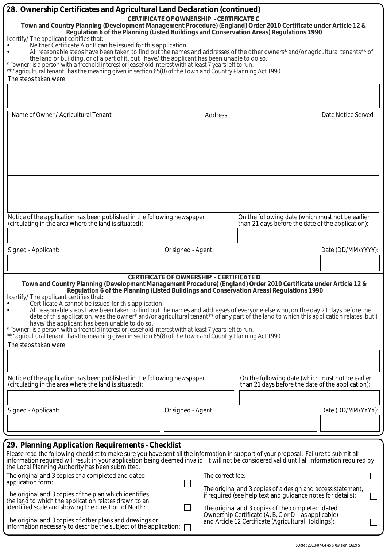| 28. Ownership Certificates and Agricultural Land Declaration (continued)                                                                                                                                                                                                                                                                                                                                                                                                                                                                                                                                                                                                                                                                                                                                                                                                                                                                                   |  |                                                 |                  |                                                                                                                  |                    |  |  |  |
|------------------------------------------------------------------------------------------------------------------------------------------------------------------------------------------------------------------------------------------------------------------------------------------------------------------------------------------------------------------------------------------------------------------------------------------------------------------------------------------------------------------------------------------------------------------------------------------------------------------------------------------------------------------------------------------------------------------------------------------------------------------------------------------------------------------------------------------------------------------------------------------------------------------------------------------------------------|--|-------------------------------------------------|------------------|------------------------------------------------------------------------------------------------------------------|--------------------|--|--|--|
| Town and Country Planning (Development Management Procedure) (England) Order 2010 Certificate under Article 12 &                                                                                                                                                                                                                                                                                                                                                                                                                                                                                                                                                                                                                                                                                                                                                                                                                                           |  | <b>CERTIFICATE OF OWNERSHIP - CERTIFICATE C</b> |                  |                                                                                                                  |                    |  |  |  |
| Regulation 6 of the Planning (Listed Buildings and Conservation Areas) Regulations 1990<br>I certify/ The applicant certifies that:                                                                                                                                                                                                                                                                                                                                                                                                                                                                                                                                                                                                                                                                                                                                                                                                                        |  |                                                 |                  |                                                                                                                  |                    |  |  |  |
| Neither Certificate A or B can be issued for this application                                                                                                                                                                                                                                                                                                                                                                                                                                                                                                                                                                                                                                                                                                                                                                                                                                                                                              |  |                                                 |                  |                                                                                                                  |                    |  |  |  |
| All reasonable steps have been taken to find out the names and addresses of the other owners* and/or agricultural tenants** of<br>the land or building, or of a part of it, but I have/ the applicant has been unable to do so.                                                                                                                                                                                                                                                                                                                                                                                                                                                                                                                                                                                                                                                                                                                            |  |                                                 |                  |                                                                                                                  |                    |  |  |  |
| * "owner" is a person with a freehold interest or leasehold interest with at least 7 years left to run.<br>** "agricultural tenant" has the meaning given in section 65(8) of the Town and Country Planning Act 1990                                                                                                                                                                                                                                                                                                                                                                                                                                                                                                                                                                                                                                                                                                                                       |  |                                                 |                  |                                                                                                                  |                    |  |  |  |
| The steps taken were:                                                                                                                                                                                                                                                                                                                                                                                                                                                                                                                                                                                                                                                                                                                                                                                                                                                                                                                                      |  |                                                 |                  |                                                                                                                  |                    |  |  |  |
|                                                                                                                                                                                                                                                                                                                                                                                                                                                                                                                                                                                                                                                                                                                                                                                                                                                                                                                                                            |  |                                                 |                  |                                                                                                                  |                    |  |  |  |
| Name of Owner / Agricultural Tenant                                                                                                                                                                                                                                                                                                                                                                                                                                                                                                                                                                                                                                                                                                                                                                                                                                                                                                                        |  |                                                 | Address          |                                                                                                                  | Date Notice Served |  |  |  |
|                                                                                                                                                                                                                                                                                                                                                                                                                                                                                                                                                                                                                                                                                                                                                                                                                                                                                                                                                            |  |                                                 |                  |                                                                                                                  |                    |  |  |  |
|                                                                                                                                                                                                                                                                                                                                                                                                                                                                                                                                                                                                                                                                                                                                                                                                                                                                                                                                                            |  |                                                 |                  |                                                                                                                  |                    |  |  |  |
|                                                                                                                                                                                                                                                                                                                                                                                                                                                                                                                                                                                                                                                                                                                                                                                                                                                                                                                                                            |  |                                                 |                  |                                                                                                                  |                    |  |  |  |
|                                                                                                                                                                                                                                                                                                                                                                                                                                                                                                                                                                                                                                                                                                                                                                                                                                                                                                                                                            |  |                                                 |                  |                                                                                                                  |                    |  |  |  |
|                                                                                                                                                                                                                                                                                                                                                                                                                                                                                                                                                                                                                                                                                                                                                                                                                                                                                                                                                            |  |                                                 |                  |                                                                                                                  |                    |  |  |  |
|                                                                                                                                                                                                                                                                                                                                                                                                                                                                                                                                                                                                                                                                                                                                                                                                                                                                                                                                                            |  |                                                 |                  |                                                                                                                  |                    |  |  |  |
|                                                                                                                                                                                                                                                                                                                                                                                                                                                                                                                                                                                                                                                                                                                                                                                                                                                                                                                                                            |  |                                                 |                  |                                                                                                                  |                    |  |  |  |
|                                                                                                                                                                                                                                                                                                                                                                                                                                                                                                                                                                                                                                                                                                                                                                                                                                                                                                                                                            |  |                                                 |                  |                                                                                                                  |                    |  |  |  |
| Notice of the application has been published in the following newspaper<br>(circulating in the area where the land is situated):                                                                                                                                                                                                                                                                                                                                                                                                                                                                                                                                                                                                                                                                                                                                                                                                                           |  |                                                 |                  | On the following date (which must not be earlier<br>than 21 days before the date of the application):            |                    |  |  |  |
|                                                                                                                                                                                                                                                                                                                                                                                                                                                                                                                                                                                                                                                                                                                                                                                                                                                                                                                                                            |  |                                                 |                  |                                                                                                                  |                    |  |  |  |
| Signed - Applicant:                                                                                                                                                                                                                                                                                                                                                                                                                                                                                                                                                                                                                                                                                                                                                                                                                                                                                                                                        |  |                                                 |                  |                                                                                                                  |                    |  |  |  |
|                                                                                                                                                                                                                                                                                                                                                                                                                                                                                                                                                                                                                                                                                                                                                                                                                                                                                                                                                            |  | Or signed - Agent:                              |                  |                                                                                                                  | Date (DD/MM/YYYY): |  |  |  |
|                                                                                                                                                                                                                                                                                                                                                                                                                                                                                                                                                                                                                                                                                                                                                                                                                                                                                                                                                            |  |                                                 |                  |                                                                                                                  |                    |  |  |  |
| <b>CERTIFICATE OF OWNERSHIP - CERTIFICATE D</b><br>Town and Country Planning (Development Management Procedure) (England) Order 2010 Certificate under Article 12 &<br>Regulation 6 of the Planning (Listed Buildings and Conservation Areas) Regulations 1990<br>I certify/ The applicant certifies that:<br>Certificate A cannot be issued for this application<br>$\bullet$<br>All reasonable steps have been taken to find out the names and addresses of everyone else who, on the day 21 days before the<br>date of this application, was the owner* and/or agricultural tenant** of any part of the land to which this application relates, but I<br>have/ the applicant has been unable to do so.<br>* "owner" is a person with a freehold interest or leasehold interest with at least 7 years left to run.<br>** "agricultural tenant" has the meaning given in section 65(8) of the Town and Country Planning Act 1990<br>The steps taken were: |  |                                                 |                  |                                                                                                                  |                    |  |  |  |
|                                                                                                                                                                                                                                                                                                                                                                                                                                                                                                                                                                                                                                                                                                                                                                                                                                                                                                                                                            |  |                                                 |                  |                                                                                                                  |                    |  |  |  |
|                                                                                                                                                                                                                                                                                                                                                                                                                                                                                                                                                                                                                                                                                                                                                                                                                                                                                                                                                            |  |                                                 |                  |                                                                                                                  |                    |  |  |  |
| Notice of the application has been published in the following newspaper<br>(circulating in the area where the land is situated):                                                                                                                                                                                                                                                                                                                                                                                                                                                                                                                                                                                                                                                                                                                                                                                                                           |  |                                                 |                  | On the following date (which must not be earlier<br>than 21 days before the date of the application):            |                    |  |  |  |
|                                                                                                                                                                                                                                                                                                                                                                                                                                                                                                                                                                                                                                                                                                                                                                                                                                                                                                                                                            |  |                                                 |                  |                                                                                                                  |                    |  |  |  |
| Signed - Applicant:                                                                                                                                                                                                                                                                                                                                                                                                                                                                                                                                                                                                                                                                                                                                                                                                                                                                                                                                        |  | Or signed - Agent:                              |                  |                                                                                                                  | Date (DD/MM/YYYY): |  |  |  |
|                                                                                                                                                                                                                                                                                                                                                                                                                                                                                                                                                                                                                                                                                                                                                                                                                                                                                                                                                            |  |                                                 |                  |                                                                                                                  |                    |  |  |  |
|                                                                                                                                                                                                                                                                                                                                                                                                                                                                                                                                                                                                                                                                                                                                                                                                                                                                                                                                                            |  |                                                 |                  |                                                                                                                  |                    |  |  |  |
| 29. Planning Application Requirements - Checklist                                                                                                                                                                                                                                                                                                                                                                                                                                                                                                                                                                                                                                                                                                                                                                                                                                                                                                          |  |                                                 |                  |                                                                                                                  |                    |  |  |  |
| Please read the following checklist to make sure you have sent all the information in support of your proposal. Failure to submit all<br>information required will result in your application being deemed invalid. It will not be considered valid until all information required by<br>the Local Planning Authority has been submitted.                                                                                                                                                                                                                                                                                                                                                                                                                                                                                                                                                                                                                  |  |                                                 |                  |                                                                                                                  |                    |  |  |  |
| The original and 3 copies of a completed and dated                                                                                                                                                                                                                                                                                                                                                                                                                                                                                                                                                                                                                                                                                                                                                                                                                                                                                                         |  |                                                 | The correct fee: |                                                                                                                  |                    |  |  |  |
| application form:                                                                                                                                                                                                                                                                                                                                                                                                                                                                                                                                                                                                                                                                                                                                                                                                                                                                                                                                          |  |                                                 |                  | The original and 3 copies of a design and access statement,                                                      |                    |  |  |  |
| The original and 3 copies of the plan which identifies<br>the land to which the application relates drawn to an<br>identified scale and showing the direction of North:                                                                                                                                                                                                                                                                                                                                                                                                                                                                                                                                                                                                                                                                                                                                                                                    |  |                                                 |                  | if required (see help text and guidance notes for details):<br>The original and 3 copies of the completed, dated |                    |  |  |  |
| Ownership Certificate (A, B, C or D – as applicable)<br>The original and 3 copies of other plans and drawings or<br>and Article 12 Certificate (Agricultural Holdings):<br>information necessary to describe the subject of the application:                                                                                                                                                                                                                                                                                                                                                                                                                                                                                                                                                                                                                                                                                                               |  |                                                 |                  |                                                                                                                  |                    |  |  |  |